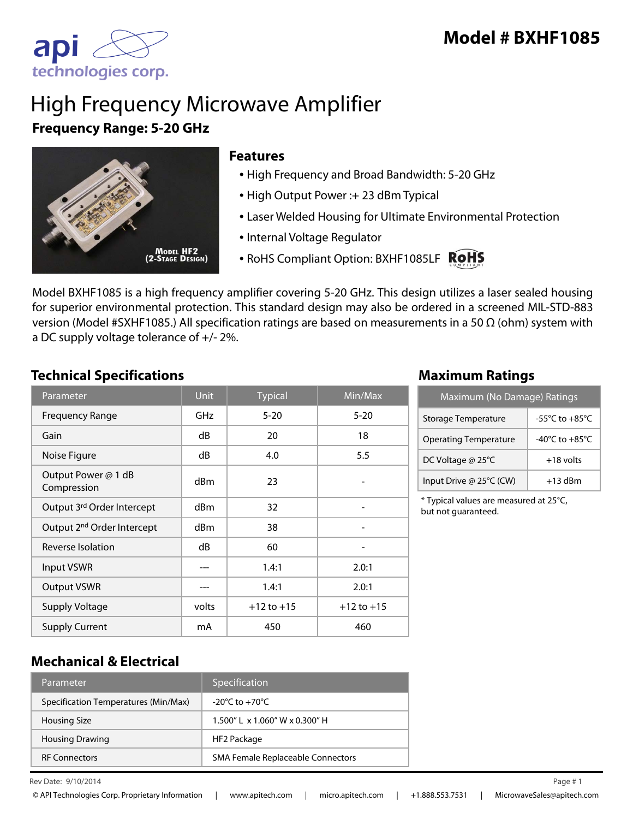

# High Frequency Microwave Amplifier **Frequency Range: 5-20 GHz**



## **Features**

- High Frequency and Broad Bandwidth: 5-20 GHz
- High Output Power :+ 23 dBm Typical
- Laser Welded Housing for Ultimate Environmental Protection
- Internal Voltage Regulator
- RoHS Compliant Option: BXHF1085LF RoHS

Model BXHF1085 is a high frequency amplifier covering 5-20 GHz. This design utilizes a laser sealed housing for superior environmental protection. This standard design may also be ordered in a screened MIL-STD-883 version (Model #SXHF1085.) All specification ratings are based on measurements in a 50 Ω (ohm) system with a DC supply voltage tolerance of +/- 2%.

## **Technical Specifications Maximum Ratings**

| Parameter                              | <b>Unit</b>     | <b>Typical</b> | $\overline{\textsf{Min}/\textsf{Max}}$ |
|----------------------------------------|-----------------|----------------|----------------------------------------|
| <b>Frequency Range</b>                 | GHz             | $5 - 20$       | $5 - 20$                               |
| Gain                                   | dB              | 20             | 18                                     |
| Noise Figure                           | dB              | 4.0            | 5.5                                    |
| Output Power @ 1 dB<br>Compression     | d <sub>Bm</sub> | 23             |                                        |
| Output 3rd Order Intercept             | dBm             | 32             |                                        |
| Output 2 <sup>nd</sup> Order Intercept | dBm             | 38             |                                        |
| Reverse Isolation                      | dB              | 60             |                                        |
| <b>Input VSWR</b>                      |                 | 1.4:1          | 2.0:1                                  |
| <b>Output VSWR</b>                     |                 | 1.4:1          | 2.0:1                                  |
| <b>Supply Voltage</b>                  | volts           | $+12$ to $+15$ | $+12$ to $+15$                         |
| <b>Supply Current</b>                  | mA              | 450            | 460                                    |

| Maximum (No Damage) Ratings  |                                      |  |
|------------------------------|--------------------------------------|--|
| Storage Temperature          | $-55^{\circ}$ C to $+85^{\circ}$ C   |  |
| <b>Operating Temperature</b> | -40 $^{\circ}$ C to +85 $^{\circ}$ C |  |
| DC Voltage @ 25°C            | $+18$ volts                          |  |
| Input Drive @ 25°C (CW)      | $+13$ dBm                            |  |

\* Typical values are measured at 25°C, but not guaranteed.

## **Mechanical & Electrical**

| Parameter                            | Specification                        |
|--------------------------------------|--------------------------------------|
| Specification Temperatures (Min/Max) | $-20^{\circ}$ C to $+70^{\circ}$ C   |
| <b>Housing Size</b>                  | $1.500''$   x $1.060''$ W x 0.300" H |
| <b>Housing Drawing</b>               | HF2 Package                          |
| <b>RF Connectors</b>                 | SMA Female Replaceable Connectors    |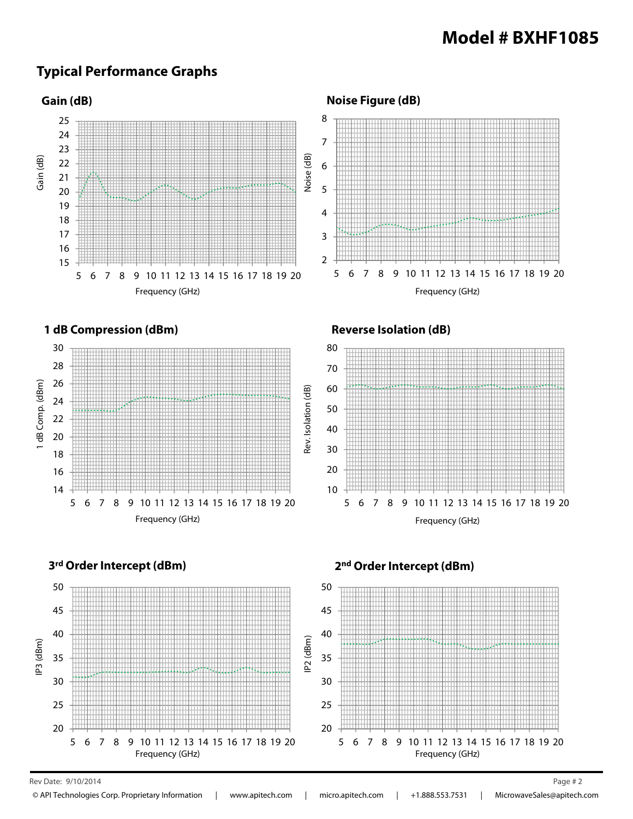## **Typical Performance Graphs**